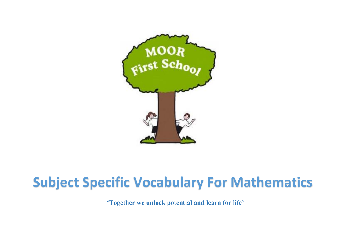

# **Subject Specific Vocabulary For Mathematics**

**'Together we unlock potential and learn for life'**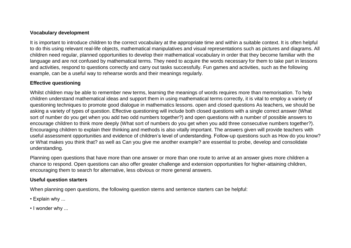#### **Vocabulary development**

It is important to introduce children to the correct vocabulary at the appropriate time and within a suitable context. It is often helpful to do this using relevant real-life objects, mathematical manipulatives and visual representations such as pictures and diagrams. All children need regular, planned opportunities to develop their mathematical vocabulary in order that they become familiar with the language and are not confused by mathematical terms. They need to acquire the words necessary for them to take part in lessons and activities, respond to questions correctly and carry out tasks successfully. Fun games and activities, such as the following example, can be a useful way to rehearse words and their meanings regularly.

### **Effective questioning**

Whilst children may be able to remember new terms, learning the meanings of words requires more than memorisation. To help children understand mathematical ideas and support them in using mathematical terms correctly, it is vital to employ a variety of questioning techniques to promote good dialogue in mathematics lessons. open and closed questions As teachers, we should be asking a variety of types of question. Effective questioning will include both closed questions with a single correct answer (What sort of number do you get when you add two odd numbers together?) and open questions with a number of possible answers to encourage children to think more deeply (What sort of numbers do you get when you add three consecutive numbers together?). Encouraging children to explain their thinking and methods is also vitally important. The answers given will provide teachers with useful assessment opportunities and evidence of children's level of understanding. Follow-up questions such as How do you know? or What makes you think that? as well as Can you give me another example? are essential to probe, develop and consolidate understanding.

Planning open questions that have more than one answer or more than one route to arrive at an answer gives more children a chance to respond. Open questions can also offer greater challenge and extension opportunities for higher-attaining children, encouraging them to search for alternative, less obvious or more general answers.

#### **Useful question starters**

When planning open questions, the following question stems and sentence starters can be helpful:

- Explain why ...
- I wonder why ...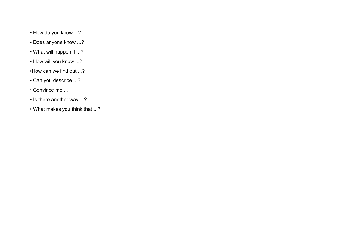- How do you know ...?
- Does anyone know ...?
- What will happen if ...?
- How will you know ...?
- •How can we find out ...?
- Can you describe ...?
- Convince me ...
- Is there another way ...?
- What makes you think that ...?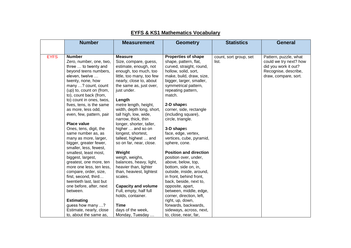|             | <b>Number</b>                                   | <b>Measurement</b>                               | <b>Geometry</b>               | <b>Statistics</b>      | <b>General</b>         |
|-------------|-------------------------------------------------|--------------------------------------------------|-------------------------------|------------------------|------------------------|
|             |                                                 |                                                  |                               |                        |                        |
| <b>EYFS</b> | <b>Number</b>                                   | <b>Measure</b>                                   | <b>Properties of shape</b>    | count, sort group, set | Pattern, puzzle, what  |
|             | Zero, number, one, two,                         | Size, compare, guess,                            | shape, pattern, flat,         | list.                  | could we try next? how |
|             | three  to twenty and                            | estimate, enough, not                            | curved, straight, round,      |                        | did you work it out?   |
|             | beyond teens numbers,                           | enough, too much, too                            | hollow, solid, sort,          |                        | Recognise, describe,   |
|             | eleven, twelve                                  | little, too many, too few                        | make, build, draw, size,      |                        | draw, compare, sort.   |
|             | twenty, none, how                               | nearly, close to, about                          | bigger, larger, smaller,      |                        |                        |
|             | many ? count, count                             | the same as, just over,                          | symmetrical pattern,          |                        |                        |
|             | (up) to, count on (from,                        | just under.                                      | repeating pattern,            |                        |                        |
|             | to), count back (from,                          |                                                  | match.                        |                        |                        |
|             | to) count in ones, twos,                        | Length                                           |                               |                        |                        |
|             | fives, tens, is the same                        | metre length, height,                            | 2-D shapes                    |                        |                        |
|             | as more, less odd,                              | width, depth long, short,                        | corner, side, rectangle       |                        |                        |
|             | even, few, pattern, pair                        | tall high, low, wide,                            | (including square),           |                        |                        |
|             |                                                 | narrow, thick, thin                              | circle, triangle.             |                        |                        |
|             | <b>Place value</b>                              | longer, shorter, taller,                         |                               |                        |                        |
|             | Ones, tens, digit, the                          | higher  and so on                                | 3-D shapes                    |                        |                        |
|             | same number as, as                              | longest, shortest,                               | face, edge, vertex,           |                        |                        |
|             | many as more, larger,<br>bigger, greater fewer, | tallest, highest  and<br>so on far, near, close. | vertices, cube, pyramid,      |                        |                        |
|             | smaller, less, fewest,                          |                                                  | sphere, cone.                 |                        |                        |
|             | smallest, least most,                           | Weight                                           | <b>Position and direction</b> |                        |                        |
|             | biggest, largest,                               | weigh, weighs,                                   | position over, under,         |                        |                        |
|             | greatest, one more, ten                         | balances, heavy, light,                          | above, below, top,            |                        |                        |
|             | more one less, ten less,                        | heavier than, lighter                            | bottom, side on, in,          |                        |                        |
|             | compare, order, size,                           | than, heaviest, lightest                         | outside, inside, around,      |                        |                        |
|             | first, second, third                            | scales.                                          | in front, behind front,       |                        |                        |
|             | twentieth last, last but                        |                                                  | back, beside, next to,        |                        |                        |
|             | one before, after, next                         | <b>Capacity and volume</b>                       | opposite, apart,              |                        |                        |
|             | between.                                        | Full, empty, half full                           | between, middle, edge,        |                        |                        |
|             |                                                 | holds, container.                                | corner, direction, left,      |                        |                        |
|             | <b>Estimating</b>                               |                                                  | right, up, down,              |                        |                        |
|             | guess how many ?                                | Time                                             | forwards, backwards,          |                        |                        |
|             | Estimate, nearly, close                         | days of the week,                                | sideways, across, next,       |                        |                        |
|             | to, about the same as,                          | Monday, Tuesday                                  | to, close, near, far,         |                        |                        |

## **EYFS & KS1 Mathematics Vocabulary**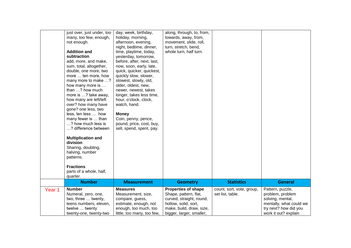|                   | just over, just under, too<br>many, too few, enough,<br>not enough.<br><b>Addition and</b><br>subtraction<br>add, more, and make,<br>sum, total, altogether,<br>double, one more, two<br>more  ten more, how<br>many more to make ?<br>how many more is<br>than ? how much<br>more is ? take away,<br>how many are left/left<br>over? how many have<br>gone? one less, two<br>less, ten less  how<br>many fewer is  than<br>? how much less is<br>? difference between<br><b>Multiplication and</b><br>division<br>Sharing, doubling,<br>halving, number<br>patterns.<br><b>Fractions</b><br>parts of a whole, half, | day, week, birthday,<br>holiday, morning,<br>afternoon, evening,<br>night, bedtime, dinner,<br>time, playtime, today,<br>yesterday, tomorrow,<br>before, after, next, last,<br>now, soon, early, late,<br>quick, quicker, quickest,<br>quickly slow, slower,<br>slowest, slowly, old,<br>older, oldest, new,<br>newer, newest, takes<br>longer, takes less time,<br>hour, o'clock, clock,<br>watch, hand.<br><b>Money</b><br>Coin, penny, pence,<br>pound, price, cost, buy,<br>sell, spend, spent, pay. | along, through, to, from,<br>towards, away, from,<br>movement, slide, roll,<br>turn, stretch, bend,<br>whole turn, half turn.     |                           |                                                                                                                  |
|-------------------|----------------------------------------------------------------------------------------------------------------------------------------------------------------------------------------------------------------------------------------------------------------------------------------------------------------------------------------------------------------------------------------------------------------------------------------------------------------------------------------------------------------------------------------------------------------------------------------------------------------------|----------------------------------------------------------------------------------------------------------------------------------------------------------------------------------------------------------------------------------------------------------------------------------------------------------------------------------------------------------------------------------------------------------------------------------------------------------------------------------------------------------|-----------------------------------------------------------------------------------------------------------------------------------|---------------------------|------------------------------------------------------------------------------------------------------------------|
|                   | quarter.<br><b>Number</b>                                                                                                                                                                                                                                                                                                                                                                                                                                                                                                                                                                                            | <b>Measurement</b>                                                                                                                                                                                                                                                                                                                                                                                                                                                                                       | <b>Geometry</b>                                                                                                                   | <b>Statistics</b>         | <b>General</b>                                                                                                   |
| Year <sub>1</sub> | <b>Number</b>                                                                                                                                                                                                                                                                                                                                                                                                                                                                                                                                                                                                        | <b>Measures</b>                                                                                                                                                                                                                                                                                                                                                                                                                                                                                          | <b>Properties of shape</b>                                                                                                        | count, sort, vote, group, | Pattern, puzzle,                                                                                                 |
|                   | Numeral, zero, one,<br>two, three  twenty,<br>teens numbers, eleven,<br>twelve  twenty<br>twenty-one, twenty-two                                                                                                                                                                                                                                                                                                                                                                                                                                                                                                     | Measurement, size,<br>compare, guess,<br>estimate, enough, not<br>enough, too much, too<br>little, too many, too few,                                                                                                                                                                                                                                                                                                                                                                                    | Shape, pattern, flat,<br>curved, straight, round,<br>hollow, solid, sort,<br>make, build, draw, size,<br>bigger, larger, smaller, | set list, table.          | problem, problem<br>solving, mental,<br>mentally, what could we<br>try next? how did you<br>work it out? explain |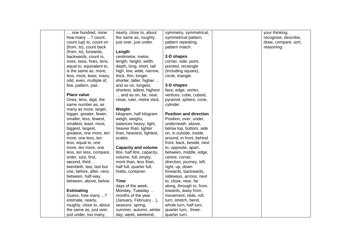| one hundred, none         | nearly, close to, about      | symmetry, symmetrical,        | your thinking,       |
|---------------------------|------------------------------|-------------------------------|----------------------|
| how many ? count,         | the same as, roughly,        | symmetrical pattern,          | recognise, describe, |
| count (up) to, count on   | just over, just under.       | pattern repeating,            | draw, compare, sort, |
| (from, to), count back    |                              | pattern match.                | reasoning.           |
| (from, to), forwards,     | Length                       |                               |                      |
| backwards, count in,      | centimetre, metre,           | 2-D shapes                    |                      |
| ones, twos, fives, tens,  | length, height, width,       | corner, side, point,          |                      |
| equal to, equivalent to,  | depth, long, short, tall     | pointed, rectangle            |                      |
| is the same as, more,     | high, low, wide, narrow,     | (including square),           |                      |
| less, most, least, many,  | thick, thin, longer,         | circle, triangle.             |                      |
| odd, even, multiple of,   | shorter, taller, higher      |                               |                      |
| few, pattern, pair.       | and so on, longest,          | 3-D shapes                    |                      |
|                           | shortest, tallest, highest   | face, edge, vertex,           |                      |
| <b>Place value</b>        | and so on, far, near,        | vertices, cube, cuboid,       |                      |
| Ones, tens, digit, the    | close, ruler, metre stick.   | pyramid, sphere, cone,        |                      |
| same number as, as        |                              | cylinder.                     |                      |
| many as more, larger,     | Weight                       |                               |                      |
| bigger, greater, fewer,   | kilogram, half kilogram      | <b>Position and direction</b> |                      |
| smaller, less, fewest,    | weigh, weighs,               | Position, over, under,        |                      |
| smallest, least, most,    | balances heavy, light,       | underneath, above,            |                      |
| biggest, largest,         | heavier than, lighter        | below top, bottom, side       |                      |
| greatest, one more, ten   | than, heaviest, lightest,    | on, in outside, inside,       |                      |
| more, one less, ten       | scales.                      | around, in front, behind      |                      |
| less, equal to, one       |                              | front, back, beside, next     |                      |
| more, ten more, one       | <b>Capacity and volume</b>   | to, opposite, apart,          |                      |
| less, ten less, compare,  | litre, half litre, capacity, | between, middle, edge,        |                      |
| order, size, first,       | volume, full, empty,         | centre, corner,               |                      |
| second, third             | more than, less than,        | direction, journey, left,     |                      |
| twentieth, last, last but | half full, quarter full,     | right, up, down               |                      |
| one, before, after, next, | holds, container.            | forwards, backwards,          |                      |
| between, half-way,        |                              | sideways, across, next        |                      |
| between, above, below.    | Time                         | to, close, near, far          |                      |
|                           | days of the week,            | along, through to, from,      |                      |
| <b>Estimating</b>         | Monday, Tuesday              | towards, away from,           |                      |
| Guess, how many ?         | months of the year           | movement, slide, roll,        |                      |
| estimate, nearly,         | (January, February ),        | turn, stretch, bend,          |                      |
| roughly, close to, about  | seasons: spring,             | whole turn, half turn,        |                      |
| the same as, just over,   | summer, autumn, winter       | quarter turn, three-          |                      |
| just under, too many,     | day, week, weekend,          | quarter turn.                 |                      |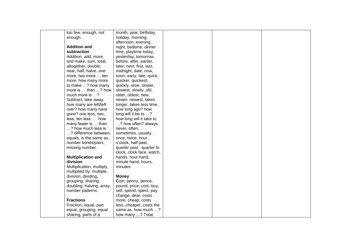| too few, enough, not      | month, year, birthday,    |  |  |
|---------------------------|---------------------------|--|--|
| enough.                   | holiday, morning,         |  |  |
|                           | afternoon, evening,       |  |  |
| <b>Addition and</b>       | night, bedtime, dinner    |  |  |
| subtraction               | time, playtime today,     |  |  |
| Addition, add, more,      | yesterday, tomorrow,      |  |  |
| and make, sum, total,     | before, after, earlier,   |  |  |
| altogether, double,       | later, next, first, last, |  |  |
| near, half, halve, one    | midnight, date, now,      |  |  |
| more, two more  ten       | soon, early, late, quick, |  |  |
| more, how many more       | quicker, quickest,        |  |  |
| to make ? how many        | quickly, slow, slower,    |  |  |
| more is  than ? how       | slowest, slowly, old,     |  |  |
| much more is ?            | older, oldest, new,       |  |  |
| Subtract, take away,      | newer, newest, takes      |  |  |
| how many are left/left    | longer, takes less time,  |  |  |
| over? how many have       | how long ago? how         |  |  |
| gone? one less, two,      | long will it be to ?      |  |  |
| less, ten less  how       | how long will it take to  |  |  |
| many fewer is  than       | ? how often? always,      |  |  |
| ? how much less is        | never, often,             |  |  |
| ? difference between,     | sometimes, usually,       |  |  |
| equals, is the same as,   | once, twice, hour,        |  |  |
| number bonds/pairs,       | o'clock, half past,       |  |  |
| missing number.           | quarter past, quarter to  |  |  |
|                           | clock, clock face, watch, |  |  |
| <b>Multiplication and</b> | hands, hour hand,         |  |  |
| division                  | minute hand, hours,       |  |  |
| Multiplication, multiply, | minutes.                  |  |  |
| multiplied by, multiple,  |                           |  |  |
| division, dividing,       | <b>Money</b>              |  |  |
| grouping, sharing,        | Coin, penny, pence,       |  |  |
| doubling, halving, array, | pound, price, cost, buy,  |  |  |
| number patterns.          | sell, spend, spent, pay   |  |  |
|                           | change, dear, costs       |  |  |
| <b>Fractions</b>          | more, cheap, costs        |  |  |
| Fraction, equal, part     | less, cheaper, costs the  |  |  |
| equal, grouping, equal    | same as, how much ?       |  |  |
| sharing, parts of a       | how many ? Total.         |  |  |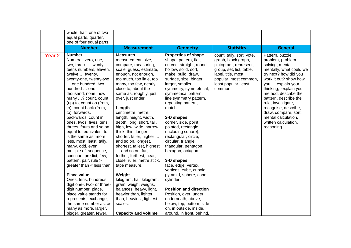|                   | whole, half, one of two                                                                                                                                                                                                                                                                                                                                                                                                                                                                                                                                                                                                                                                                                                                                                                                                           |                                                                                                                                                                                                                                                                                                                                                                                                                                                                                                                                                                                                                                                                                                                                                             |                                                                                                                                                                                                                                                                                                                                                                                                                                                                                                                                                                                                                                                                                                                                                     |                                                                                                                                                                                         |                                                                                                                                                                                                                                                                                                                                                                          |
|-------------------|-----------------------------------------------------------------------------------------------------------------------------------------------------------------------------------------------------------------------------------------------------------------------------------------------------------------------------------------------------------------------------------------------------------------------------------------------------------------------------------------------------------------------------------------------------------------------------------------------------------------------------------------------------------------------------------------------------------------------------------------------------------------------------------------------------------------------------------|-------------------------------------------------------------------------------------------------------------------------------------------------------------------------------------------------------------------------------------------------------------------------------------------------------------------------------------------------------------------------------------------------------------------------------------------------------------------------------------------------------------------------------------------------------------------------------------------------------------------------------------------------------------------------------------------------------------------------------------------------------------|-----------------------------------------------------------------------------------------------------------------------------------------------------------------------------------------------------------------------------------------------------------------------------------------------------------------------------------------------------------------------------------------------------------------------------------------------------------------------------------------------------------------------------------------------------------------------------------------------------------------------------------------------------------------------------------------------------------------------------------------------------|-----------------------------------------------------------------------------------------------------------------------------------------------------------------------------------------|--------------------------------------------------------------------------------------------------------------------------------------------------------------------------------------------------------------------------------------------------------------------------------------------------------------------------------------------------------------------------|
|                   | equal parts, quarter,                                                                                                                                                                                                                                                                                                                                                                                                                                                                                                                                                                                                                                                                                                                                                                                                             |                                                                                                                                                                                                                                                                                                                                                                                                                                                                                                                                                                                                                                                                                                                                                             |                                                                                                                                                                                                                                                                                                                                                                                                                                                                                                                                                                                                                                                                                                                                                     |                                                                                                                                                                                         |                                                                                                                                                                                                                                                                                                                                                                          |
|                   | one of four equal parts.                                                                                                                                                                                                                                                                                                                                                                                                                                                                                                                                                                                                                                                                                                                                                                                                          |                                                                                                                                                                                                                                                                                                                                                                                                                                                                                                                                                                                                                                                                                                                                                             |                                                                                                                                                                                                                                                                                                                                                                                                                                                                                                                                                                                                                                                                                                                                                     |                                                                                                                                                                                         |                                                                                                                                                                                                                                                                                                                                                                          |
|                   | <b>Number</b>                                                                                                                                                                                                                                                                                                                                                                                                                                                                                                                                                                                                                                                                                                                                                                                                                     | <b>Measurement</b>                                                                                                                                                                                                                                                                                                                                                                                                                                                                                                                                                                                                                                                                                                                                          | <b>Geometry</b>                                                                                                                                                                                                                                                                                                                                                                                                                                                                                                                                                                                                                                                                                                                                     | <b>Statistics</b>                                                                                                                                                                       | <b>General</b>                                                                                                                                                                                                                                                                                                                                                           |
| Year <sub>2</sub> | <b>Number</b><br>Numeral, zero, one,<br>two, three  twenty,<br>teens numbers, eleven,<br>twelve  twenty,<br>twenty-one, twenty-two<br>one hundred, two<br>hundred  one<br>thousand, none, how<br>many ? count, count<br>(up) to, count on (from,<br>to), count back (from,<br>to), forwards,<br>backwards, count in<br>ones, twos, fives, tens,<br>threes, fours and so on,<br>equal to, equivalent to,<br>is the same as, more,<br>less, most, least, tally,<br>many, odd, even,<br>multiple of, sequence,<br>continue, predict, few,<br>pattern, pair, rule ><br>greater than < less than<br><b>Place value</b><br>Ones, tens, hundreds<br>digit one-, two- or three-<br>digit number, place,<br>place value stands for,<br>represents, exchange,<br>the same number as, as<br>many as more, larger,<br>bigger, greater, fewer, | <b>Measures</b><br>measurement, size,<br>compare, measuring,<br>scale, guess, estimate,<br>enough, not enough,<br>too much, too little, too<br>many, too few, nearly,<br>close to, about the<br>same as, roughly, just<br>over, just under.<br>Length<br>centimetre, metre,<br>length, height, width,<br>depth, long, short, tall,<br>high, low, wide, narrow,<br>thick, thin, longer,<br>shorter, taller, higher<br>and so on, longest,<br>shortest, tallest, highest<br>and so on, far,<br>further, furthest, near,<br>close, ruler, metre stick,<br>tape measure.<br>Weight<br>kilogram, half kilogram,<br>gram, weigh, weighs,<br>balances, heavy, light,<br>heavier than, lighter<br>than, heaviest, lightest<br>scales.<br><b>Capacity and volume</b> | <b>Properties of shape</b><br>shape, pattern, flat,<br>curved, straight, round,<br>hollow, solid, sort,<br>make, build, draw,<br>surface, size, bigger,<br>larger, smaller,<br>symmetry, symmetrical,<br>symmetrical pattern,<br>line symmetry pattern,<br>repeating pattern,<br>match.<br>2-D shapes<br>corner, side, point,<br>pointed, rectangle<br>(including square),<br>rectangular, circle,<br>circular, triangle,<br>triangular, pentagon,<br>hexagon, octagon.<br>3-D shapes<br>face, edge, vertex,<br>vertices, cube, cuboid,<br>pyramid, sphere, cone,<br>cylinder.<br><b>Position and direction</b><br>Position, over, under,<br>underneath, above,<br>below, top, bottom, side<br>on, in outside, inside,<br>around, in front, behind, | count, tally, sort, vote,<br>graph, block graph,<br>pictogram, represent,<br>group, set, list, table,<br>label, title, most<br>popular, most common,<br>least popular, least<br>common. | Pattern, puzzle,<br>problem, problem<br>solving, mental,<br>mentally, what could we<br>try next? how did you<br>work it out? show how<br>you  explain your<br>thinking, explain your<br>method, describe the<br>pattern, describe the<br>rule, investigate,<br>recognise, describe,<br>draw, compare, sort,<br>mental calculation,<br>written calculation,<br>reasoning. |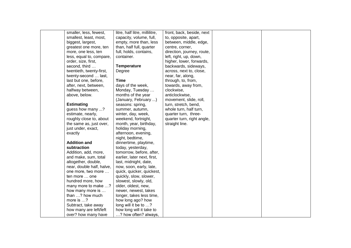| smaller, less, fewest,    | litre, half litre, millilitre, | front, back, beside, next  |  |
|---------------------------|--------------------------------|----------------------------|--|
| smallest, least, most,    | capacity, volume, full,        | to, opposite, apart,       |  |
| biggest, largest,         | empty, more than, less         | between, middle, edge,     |  |
| greatest one more, ten    | than, half full, quarter       | centre, corner,            |  |
| more, one less, ten       | full, holds, contains,         | direction, journey, route, |  |
| less, equal to, compare,  | container.                     | left, right, up, down,     |  |
| order, size, first,       |                                | higher, lower, forwards,   |  |
| second, third             | <b>Temperature</b>             | backwards, sideways,       |  |
| twentieth, twenty-first,  | Degree                         | across, next to, close,    |  |
| twenty-second  last,      |                                | near, far, along,          |  |
| last but one, before,     | Time                           | through, to, from,         |  |
| after, next, between,     | days of the week,              | towards, away from,        |  |
| halfway between,          | Monday, Tuesday                | clockwise,                 |  |
| above, below.             | months of the year             | anticlockwise,             |  |
|                           | (January, February )           | movement, slide, roll,     |  |
| <b>Estimating</b>         | seasons: spring,               | turn, stretch, bend,       |  |
| guess how many ?          | summer, autumn,                | whole turn, half turn,     |  |
| estimate, nearly,         | winter, day, week,             | quarter turn, three-       |  |
| roughly close to, about   | weekend, fortnight,            | quarter turn, right angle, |  |
| the same as, just over,   | month, year, birthday,         | straight line.             |  |
| just under, exact,        | holiday morning,               |                            |  |
| exactly                   | afternoon, evening,            |                            |  |
|                           | night, bedtime,                |                            |  |
| <b>Addition and</b>       | dinnertime, playtime,          |                            |  |
| subtraction               | today, yesterday,              |                            |  |
| Addition, add, more,      | tomorrow, before, after,       |                            |  |
| and make, sum, total      | earlier, later next, first,    |                            |  |
| altogether, double,       | last, midnight, date,          |                            |  |
| near, double half, halve, | now, soon, early, late,        |                            |  |
| one more, two more        | quick, quicker, quickest,      |                            |  |
| ten more  one             | quickly, slow, slower,         |                            |  |
| hundred more, how         | slowest, slowly, old,          |                            |  |
| many more to make ?       | older, oldest, new,            |                            |  |
| how many more is          | newer, newest, takes           |                            |  |
| than ? how much           | longer, takes less time,       |                            |  |
| more is ?                 | how long ago? how              |                            |  |
| Subtract, take away       | long will it be to ?           |                            |  |
| how many are left/left    | how long will it take to       |                            |  |
| over? how many have       | .? how often? always,          |                            |  |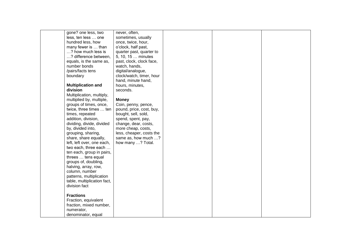| gone? one less, two         | never, often,            |  |  |
|-----------------------------|--------------------------|--|--|
| less, ten less  one         | sometimes, usually       |  |  |
| hundred less, how           | once, twice, hour,       |  |  |
| many fewer is  than         | o'clock, half past,      |  |  |
| ? how much less is          | quarter past, quarter to |  |  |
| ? difference between,       | 5, 10, 15  minutes       |  |  |
| equals, is the same as,     | past, clock, clock face, |  |  |
| number bonds                | watch, hands,            |  |  |
| /pairs/facts tens           | digital/analogue,        |  |  |
| boundary                    | clock/watch, timer, hour |  |  |
|                             | hand, minute hand,       |  |  |
| <b>Multiplication and</b>   | hours, minutes,          |  |  |
| division                    | seconds.                 |  |  |
| Multiplication, multiply,   |                          |  |  |
| multiplied by, multiple,    | <b>Money</b>             |  |  |
| groups of times, once,      | Coin, penny, pence,      |  |  |
| twice, three times  ten     | pound, price, cost, buy, |  |  |
| times, repeated             | bought, sell, sold,      |  |  |
| addition, division,         | spend, spent, pay,       |  |  |
| dividing, divide, divided   | change, dear, costs,     |  |  |
| by, divided into,           | more cheap, costs,       |  |  |
| grouping, sharing,          | less, cheaper, costs the |  |  |
| share, share equally,       | same as, how much ?      |  |  |
| left, left over, one each,  | how many ? Total.        |  |  |
| two each, three each        |                          |  |  |
| ten each, group in pairs,   |                          |  |  |
| threes  tens equal          |                          |  |  |
| groups of, doubling,        |                          |  |  |
| halving, array, row,        |                          |  |  |
| column, number              |                          |  |  |
| patterns, multiplication    |                          |  |  |
| table, multiplication fact, |                          |  |  |
| division fact               |                          |  |  |
|                             |                          |  |  |
| <b>Fractions</b>            |                          |  |  |
| Fraction, equivalent        |                          |  |  |
| fraction, mixed number,     |                          |  |  |
| numerator,                  |                          |  |  |
| denominator, equal          |                          |  |  |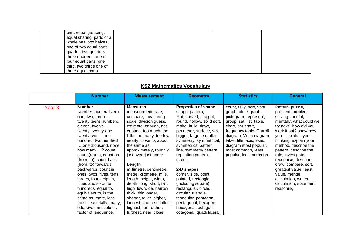| part, equal grouping,<br>equal sharing, parts of a |  |  |
|----------------------------------------------------|--|--|
| whole half, two halves,                            |  |  |
| one of two equal parts,                            |  |  |
| quarter, two quarters,                             |  |  |
| three quarters, one of                             |  |  |
| four equal parts, one                              |  |  |
| third, two thirds one of                           |  |  |
| three equal parts.                                 |  |  |

## **KS2 Mathematics Vocabulary**

|                   | <b>Number</b>                                                                                                                                                                                                                                                                                                                                                                                                                                                                                                                                             | <b>Measurement</b>                                                                                                                                                                                                                                                                                                                                                                                                                                                                                                                                          | <b>Geometry</b>                                                                                                                                                                                                                                                                                                                                                                                                                                                                                                                          | <b>Statistics</b>                                                                                                                                                                                                                                                                      | <b>General</b>                                                                                                                                                                                                                                                                                                                                                                                                          |
|-------------------|-----------------------------------------------------------------------------------------------------------------------------------------------------------------------------------------------------------------------------------------------------------------------------------------------------------------------------------------------------------------------------------------------------------------------------------------------------------------------------------------------------------------------------------------------------------|-------------------------------------------------------------------------------------------------------------------------------------------------------------------------------------------------------------------------------------------------------------------------------------------------------------------------------------------------------------------------------------------------------------------------------------------------------------------------------------------------------------------------------------------------------------|------------------------------------------------------------------------------------------------------------------------------------------------------------------------------------------------------------------------------------------------------------------------------------------------------------------------------------------------------------------------------------------------------------------------------------------------------------------------------------------------------------------------------------------|----------------------------------------------------------------------------------------------------------------------------------------------------------------------------------------------------------------------------------------------------------------------------------------|-------------------------------------------------------------------------------------------------------------------------------------------------------------------------------------------------------------------------------------------------------------------------------------------------------------------------------------------------------------------------------------------------------------------------|
| Year <sub>3</sub> | <b>Number</b><br>Number, numeral zero<br>one, two, three<br>twenty teens numbers,<br>eleven, twelve<br>twenty, twenty-one,<br>twenty-two  one<br>hundred, two hundred<br>one thousand, none,<br>how many ? count,<br>count (up) to, count on<br>(from, to), count back<br>(from, to) forwards,<br>backwards, count in<br>ones, twos, fives, tens,<br>threes, fours, eights,<br>fifties and so on to<br>hundreds, equal to,<br>equivalent to, is the<br>same as, more, less<br>most, least, tally, many,<br>odd, even multiple of,<br>factor of, sequence, | <b>Measures</b><br>measurement, size,<br>compare, measuring<br>scale, division guess,<br>estimate, enough, not<br>enough, too much, too<br>little, too many, too few,<br>nearly, close to, about<br>the same as,<br>approximately, roughly,<br>just over, just under<br>Length<br>millimetre, centimetre,<br>metre, kilometre, mile,<br>length, height, width,<br>depth, long, short, tall,<br>high, low wide, narrow<br>thick, thin longer,<br>shorter, taller, higher,<br>longest, shortest, tallest,<br>highest, far, further,<br>furthest, near, close, | <b>Properties of shape</b><br>shape, pattern,<br>Flat, curved, straight,<br>round, hollow, solid sort,<br>make, build, draw,<br>perimeter, surface, size,<br>bigger, larger, smaller<br>symmetry, symmetrical,<br>symmetrical pattern,<br>line, symmetry pattern,<br>repeating pattern,<br>match.<br>2-D shapes<br>corner, side, point,<br>pointed, rectangle<br>(including square),<br>rectangular, circle,<br>circular, triangle,<br>triangular, pentagon,<br>pentagonal, hexagon,<br>hexagonal, octagon,<br>octagonal, quadrilateral, | count, tally, sort, vote,<br>graph, block graph,<br>pictogram, represent,<br>group, set, list, table,<br>chart, bar chart,<br>frequency table, Carroll<br>diagram, Venn diagram,<br>label, title, axis, axes,<br>diagram most popular,<br>most common, least<br>popular, least common. | Pattern, puzzle,<br>problem, problem-<br>solving, mental,<br>mentally, what could we<br>try next? how did you<br>work it out? show how<br>you  explain your<br>thinking, explain your<br>method, describe the<br>pattern, describe the<br>rule, investigate,<br>recognise, describe,<br>draw, compare, sort,<br>greatest value, least<br>value, mental<br>calculation, written<br>calculation, statement,<br>reasoning. |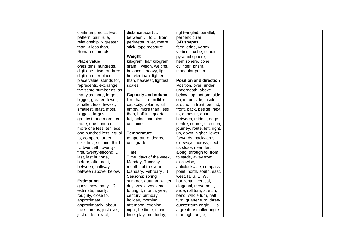| continue predict, few,     | distance apart                 | right-angled, parallel,                    |  |
|----------------------------|--------------------------------|--------------------------------------------|--|
| pattern, pair, rule,       | between  to  from              | perpendicular.                             |  |
| relationship, $>$ greater  | perimeter, ruler, metre        | 3-D shapes                                 |  |
| than, $<$ less than,       | stick, tape measure.           | face, edge, vertex,                        |  |
| Roman numerals,            |                                | vertices, cube, cuboid,                    |  |
|                            | Weight                         | pyramid sphere,                            |  |
| <b>Place value</b>         | kilogram, half kilogram,       | hemisphere, cone,                          |  |
| ones tens, hundreds,       | gram, weigh, weighs,           | cylinder, prism,                           |  |
| digit one-, two- or three- | balances, heavy, light         | triangular prism.                          |  |
| digit number place,        | heavier than, lighter          |                                            |  |
| place value, stands for,   | than, heaviest, lightest       | <b>Position and direction</b>              |  |
| represents, exchange,      | scales.                        | Position, over, under,                     |  |
| the same number as, as     |                                | underneath, above,                         |  |
| many as more, larger,      | <b>Capacity and volume</b>     | below, top, bottom, side                   |  |
| bigger, greater, fewer,    | litre, half litre, millilitre, | on, in, outside, inside,                   |  |
| smaller, less, fewest,     | capacity, volume, full,        | around, in front, behind,                  |  |
| smallest, least, most,     | empty, more than, less         | front, back, beside, next                  |  |
| biggest, largest,          | than, half full, quarter       | to, opposite, apart,                       |  |
| greatest, one more, ten    | full, holds, contains          | between, middle, edge,                     |  |
| more, one hundred          | container.                     | centre, corner, direction,                 |  |
| more one less, ten less,   |                                | journey, route, left, right,               |  |
| one hundred less, equal    | <b>Temperature</b>             | up, down, higher, lower,                   |  |
| to, compare, order,        | temperature, degree,           | forwards, backwards,                       |  |
| size, first, second, third | centigrade.                    | sideways, across, next                     |  |
| twentieth, twenty-         |                                | to, close, near, far,                      |  |
| first, twenty-second       | Time                           | along, through to, from,                   |  |
| last, last but one,        | Time, days of the week,        | towards, away from,                        |  |
| before, after next,        | Monday, Tuesday                | clockwise,                                 |  |
| between, halfway           | months of the year             | anticlockwise, compass                     |  |
| between above, below.      | (January, February )           | point, north, south, east,                 |  |
|                            |                                |                                            |  |
| <b>Estimating</b>          | Seasons: spring,               | west, N, S, E, W,<br>horizontal, vertical, |  |
|                            | summer, autumn, winter         |                                            |  |
| guess how many ?           | day, week, weekend,            | diagonal, movement,                        |  |
| estimate, nearly,          | fortnight, month, year,        | slide, roll turn, stretch,                 |  |
| roughly, close to,         | century, birthday,             | bend, whole turn, half                     |  |
| approximate,               | holiday, morning,              | turn, quarter turn, three-                 |  |
| approximately, about       | afternoon, evening,            | quarter turn angle  is                     |  |
| the same as, just over,    | night, bedtime, dinner         | a greater/smaller angle                    |  |
| just under. exact,         | time, playtime, today,         | than right angle,                          |  |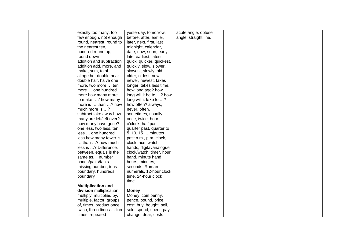| exactly too many, too             | yesterday, tomorrow,      | acute angle, obtuse   |  |
|-----------------------------------|---------------------------|-----------------------|--|
| few enough, not enough            | before, after, earlier,   | angle, straight line. |  |
| round, nearest, round to          | later, next, first, last  |                       |  |
| the nearest ten,                  | midnight, calendar,       |                       |  |
| hundred round up,                 | date, now, soon, early,   |                       |  |
| round down                        | late, earliest, latest,   |                       |  |
| addition and subtraction          | quick, quicker, quickest, |                       |  |
| addition add, more, and           | quickly, slow, slower,    |                       |  |
| make, sum, total                  | slowest, slowly, old,     |                       |  |
| altogether double near            | older, oldest, new,       |                       |  |
| double half, halve one            | newer, newest, takes      |                       |  |
| more, two more  ten               | longer, takes less time,  |                       |  |
| more  one hundred                 | how long ago? how         |                       |  |
| more how many more                | long will it be to ? how  |                       |  |
| to make ? how many                | long will it take to ?    |                       |  |
| more is  than ? how               | how often? always,        |                       |  |
| much more is ?                    | never, often,             |                       |  |
| subtract take away how            | sometimes, usually        |                       |  |
| many are left/left over?          | once, twice, hour,        |                       |  |
| how many have gone?               | o'clock, half past,       |                       |  |
|                                   |                           |                       |  |
| one less, two less, ten           | quarter past, quarter to  |                       |  |
| less  one hundred                 | 5, 10, 15  minutes        |                       |  |
| less how many fewer is            | past a.m., p.m. clock,    |                       |  |
| $\ldots$ than $\ldots$ ? how much | clock face, watch,        |                       |  |
| less is ? Difference,             | hands, digital/analogue   |                       |  |
| between, equals is the            | clock/watch, timer, hour  |                       |  |
| same as, number                   | hand, minute hand,        |                       |  |
| bonds/pairs/facts                 | hours, minutes,           |                       |  |
| missing number, tens              | seconds, Roman            |                       |  |
| boundary, hundreds                | numerals, 12-hour clock   |                       |  |
| boundary                          | time, 24-hour clock       |                       |  |
|                                   | time.                     |                       |  |
| <b>Multiplication and</b>         |                           |                       |  |
| division multiplication,          | <b>Money</b>              |                       |  |
| multiply, multiplied by,          | Money, coin penny,        |                       |  |
| multiple, factor, groups          | pence, pound, price,      |                       |  |
| of, times, product once,          | cost, buy, bought, sell,  |                       |  |
| twice, three times  ten           | sold, spend, spent, pay,  |                       |  |
| times, repeated                   | change, dear, costs       |                       |  |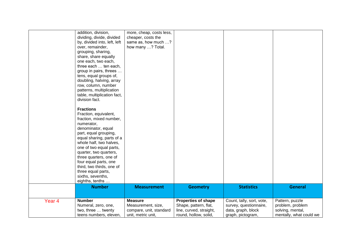|                   | addition, division,                                       | more, cheap, costs less,                  |                            |                           |                         |
|-------------------|-----------------------------------------------------------|-------------------------------------------|----------------------------|---------------------------|-------------------------|
|                   | dividing, divide, divided<br>by, divided into, left, left | cheaper, costs the<br>same as, how much ? |                            |                           |                         |
|                   | over, remainder,                                          | how many ? Total.                         |                            |                           |                         |
|                   | grouping, sharing,                                        |                                           |                            |                           |                         |
|                   | share, share equally                                      |                                           |                            |                           |                         |
|                   | one each, two each,<br>three each  ten each,              |                                           |                            |                           |                         |
|                   | group in pairs, threes                                    |                                           |                            |                           |                         |
|                   | tens, equal groups of,                                    |                                           |                            |                           |                         |
|                   | doubling, halving, array                                  |                                           |                            |                           |                         |
|                   | row, column, number                                       |                                           |                            |                           |                         |
|                   | patterns, multiplication                                  |                                           |                            |                           |                         |
|                   | table, multiplication fact,                               |                                           |                            |                           |                         |
|                   | division fact.                                            |                                           |                            |                           |                         |
|                   | <b>Fractions</b>                                          |                                           |                            |                           |                         |
|                   | Fraction, equivalent,                                     |                                           |                            |                           |                         |
|                   | fraction, mixed number,                                   |                                           |                            |                           |                         |
|                   | numerator,                                                |                                           |                            |                           |                         |
|                   | denominator, equal                                        |                                           |                            |                           |                         |
|                   | part, equal grouping,                                     |                                           |                            |                           |                         |
|                   | equal sharing, parts of a<br>whole half, two halves,      |                                           |                            |                           |                         |
|                   | one of two equal parts,                                   |                                           |                            |                           |                         |
|                   | quarter, two quarters,                                    |                                           |                            |                           |                         |
|                   | three quarters, one of                                    |                                           |                            |                           |                         |
|                   | four equal parts, one                                     |                                           |                            |                           |                         |
|                   | third, two thirds, one of                                 |                                           |                            |                           |                         |
|                   | three equal parts,<br>sixths, sevenths,                   |                                           |                            |                           |                         |
|                   | eighths, tenths                                           |                                           |                            |                           |                         |
|                   | <b>Number</b>                                             | <b>Measurement</b>                        | <b>Geometry</b>            | <b>Statistics</b>         | <b>General</b>          |
|                   |                                                           |                                           |                            |                           |                         |
| Year <sub>4</sub> | <b>Number</b>                                             | <b>Measure</b>                            | <b>Properties of shape</b> | Count, tally, sort, vote, | Pattern, puzzle         |
|                   | Numeral, zero, one,                                       | Measurement, size,                        | Shape, pattern, flat,      | survey, questionnaire,    | problem, problem        |
|                   | two, three  twenty                                        | compare, unit, standard                   | line, curved, straight,    | data, graph, block        | solving, mental,        |
|                   | teens numbers, eleven,                                    | unit, metric unit,                        | round, hollow, solid,      | graph, pictogram,         | mentally, what could we |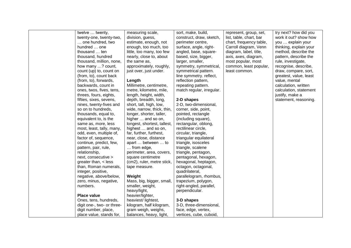| twelve  twenty,            | measuring scale,            | sort, make, build,        | represent, group, set,  | try next? how did you  |
|----------------------------|-----------------------------|---------------------------|-------------------------|------------------------|
| twenty-one, twenty-two,    | division, guess,            | construct, draw, sketch,  | list, table, chart, bar | work it out? show how  |
| one hundred, two           | estimate, enough, not       | perimeter centre,         | chart, frequency table, | you  explain your      |
| hundred  one               | enough, too much, too       | surface, angle, right-    | Carroll diagram, Venn   | thinking, explain your |
| thousand  ten              | little, too many, too few   | angled, base, square-     | diagram, label, title,  | method, describe the   |
| thousand, hundred          | nearly, close to, about     | based, size, bigger,      | axis, axes, diagram,    | pattern, describe the  |
| thousand, million, none,   | the same as,                | larger, smaller,          | most popular, most      | rule, investigate,     |
| how many ? count,          | approximately, roughly,     | symmetry, symmetrical,    | common, least popular,  | recognise, describe,   |
| count (up) to, count on    | just over, just under.      | symmetrical pattern.      | least common.           | draw, compare, sort,   |
| (from, to), count back     |                             | line symmetry. reflect,   |                         | greatest, value, least |
| (from, to), forwards,      | Length                      | reflection pattern,       |                         | value, mental          |
| backwards, count in        | Millimetre, centimetre,     | repeating pattern.        |                         | calculation, written   |
| ones, twos, fives, tens,   | metre, kilometre, mile,     | match regular, irregular. |                         | calculation, statement |
| threes, fours, eights,     | length, height, width,      |                           |                         | justify, make a        |
| fifties, sixes, sevens,    | depth, breadth, long,       | 2-D shapes                |                         | statement, reasoning.  |
| nines, twenty-fives and    | short, tall, high, low,     | 2-D, two-dimensional,     |                         |                        |
| so on to hundreds,         | wide, narrow, thick, thin,  | corner, side, point,      |                         |                        |
| thousands, equal to,       | longer, shorter, taller,    | pointed, rectangle        |                         |                        |
| equivalent to, is the      | higher  and so on,          | (including square),       |                         |                        |
| same as, more, less        | longest, shortest, tallest, | rectangular, oblong,      |                         |                        |
| most, least, tally, many,  | highest  and so on,         | rectilinear circle,       |                         |                        |
| odd, even, multiple of,    | far, further, furthest,     | circular, triangle,       |                         |                        |
| factor of, sequence,       | near, close, distance       | triangular equilateral    |                         |                        |
| continue, predict, few,    | apart  between  to          | triangle, isosceles       |                         |                        |
| pattern, pair, rule,       | $\ldots$ from edge,         | triangle, scalene         |                         |                        |
| relationship,              | perimeter, area, covers,    | triangle, pentagon,       |                         |                        |
| next, consecutive >        | square centimetre           | pentagonal, hexagon,      |                         |                        |
| greater than, $\lt$ less   | (cm2), ruler, metre stick,  | hexagonal, heptagon,      |                         |                        |
| than, Roman numerals,      | tape measure.               | octagon, octagonal,       |                         |                        |
| integer, positive,         |                             | quadrilateral,            |                         |                        |
| negative, above/below,     | Weight                      | parallelogram, rhombus,   |                         |                        |
| zero, minus, negative,     | Mass, big, bigger, small,   | trapezium, polygon,       |                         |                        |
| numbers.                   | smaller, weight,            | right-angled, parallel,   |                         |                        |
|                            | heavy/light,                | perpendicular.            |                         |                        |
| <b>Place value</b>         | heavier/lighter,            |                           |                         |                        |
| Ones, tens, hundreds,      | heaviest/lightest,          | 3-D shapes                |                         |                        |
| digit one-, two- or three- | kilogram, half kilogram,    | 3-D, three-dimensional,   |                         |                        |
| digit number, place,       | gram weigh, weighs,         | face, edge, vertex,       |                         |                        |
| place value, stands for,   | balances, heavy, light,     | vertices, cube, cuboid,   |                         |                        |
|                            |                             |                           |                         |                        |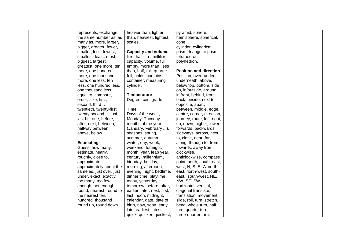| represents, exchange,    | heavier than, lighter          | pyramid, sphere,              |  |
|--------------------------|--------------------------------|-------------------------------|--|
| the same number as, as   | than, heaviest, lightest,      | hemisphere, spherical,        |  |
| many as, more, larger,   | scales.                        | cone,                         |  |
| bigger, greater, fewer,  |                                | cylinder, cylindrical         |  |
| smaller, less, fewest,   | <b>Capacity and volume</b>     | prism, triangular prism,      |  |
| smallest, least, most,   | litre, half litre, millilitre, | tetrahedron,                  |  |
| biggest, largest,        | capacity, volume, full         | polyhedron.                   |  |
| greatest, one more, ten  | empty, more than, less         |                               |  |
| more, one hundred        | than, half, full, quarter      | <b>Position and direction</b> |  |
| more, one thousand       | full, holds, contains,         | Position, over, under,        |  |
| more, one less, ten      | container, measuring           | underneath, above,            |  |
| less, one hundred less,  | cylinder.                      | below top, bottom, side       |  |
| one thousand less,       |                                | on, in/outside, around,       |  |
| equal to, compare,       | <b>Temperature</b>             | in front, behind, front,      |  |
| order, size, first,      | Degree, centigrade             | back, beside, next to,        |  |
| second, third            |                                | opposite, apart,              |  |
| twentieth, twenty-first, | Time                           | between, middle, edge,        |  |
| twenty-second  last,     | Days of the week,              | centre, corner, direction,    |  |
| last but one, before,    | Monday, Tuesday                | journey, route, left, right,  |  |
| after, next, between,    | months of the year             | up, down, higher, lower,      |  |
| halfway between,         | (January, February ),          | forwards, backwards,          |  |
| above, below.            | seasons, spring,               | sideways, across, next        |  |
|                          | summer, autumn,                | to, close, near, far,         |  |
| <b>Estimating</b>        | winter, day, week,             | along, through to, from,      |  |
| Guess, how many,         | weekend, fortnight,            | towards, away from,           |  |
| estimate, nearly,        | month, year, leap year,        | clockwise,                    |  |
| roughly, close to,       | century, millennium,           | anticlockwise, compass        |  |
| approximate,             | birthday, holiday,             | point, north, south, east,    |  |
| approximately about the  | morning, afternoon,            | west, N, S, E, W north-       |  |
| same as, just over, just | evening, night, bedtime,       | east, north-west, south-      |  |
| under, exact, exactly    | dinner time, playtime,         | east, south-west, NE,         |  |
| too many, too few,       | today, yesterday,              | NW, SE, SW,                   |  |
| enough, not enough,      | tomorrow, before, after,       | horizontal, vertical,         |  |
| round, nearest, round to | earlier, later, next, first,   | diagonal translate,           |  |
| the nearest ten,         | last, noon, midnight,          | translation, movement,        |  |
| hundred, thousand        | calendar, date, date of        | slide, roll, turn, stretch,   |  |
| round up, round down.    | birth, now, soon, early,       | bend, whole turn, half        |  |
|                          | late, earliest, latest,        | turn, quarter turn,           |  |
|                          | quick, quicker, quickest,      | three-quarter turn,           |  |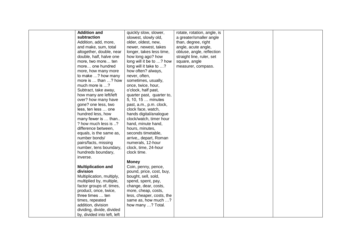| <b>Addition and</b>         | quickly slow, slower,     | rotate, rotation, angle, is |  |
|-----------------------------|---------------------------|-----------------------------|--|
| subtraction                 | slowest, slowly old,      | a greater/smaller angle     |  |
| Addition, add, more,        | older, oldest, new,       | than, degree, right         |  |
| and make, sum, total        | newer, newest, takes      | angle, acute angle,         |  |
| altogether, double, near    | longer, takes less time,  | obtuse, angle, reflection   |  |
| double, half, halve one     | how long ago? how         | straight line, ruler, set   |  |
| more, two more ten          | long will it be to ? how  | square, angle               |  |
| more one hundred            | long will it take to ?    | measurer, compass.          |  |
| more, how many more         | how often? always,        |                             |  |
| to make ? how many          | never, often,             |                             |  |
| more is  than ? how         | sometimes, usually,       |                             |  |
| much more is ?              | once, twice, hour,        |                             |  |
| Subtract, take away,        | o'clock, half past,       |                             |  |
| how many are left/left      | quarter past, quarter to, |                             |  |
| over? how many have         | 5, 10, 15  minutes        |                             |  |
| gone? one less, two         | past, a.m., p.m. clock,   |                             |  |
| less, ten less  one         | clock face, watch,        |                             |  |
| hundred less, how           | hands digital/analogue    |                             |  |
| many fewer is  than         | clock/watch, timer hour   |                             |  |
| ? how much less is ?        | hand, minute hand,        |                             |  |
| difference between,         | hours, minutes,           |                             |  |
| equals, is the same as,     | seconds timetable,        |                             |  |
| number bonds/               | arrive,, depart, Roman    |                             |  |
| pairs/facts, missing        | numerals, 12-hour         |                             |  |
| number, tens boundary,      | clock, time, 24-hour      |                             |  |
| hundreds boundary,          | clock time.               |                             |  |
| inverse.                    |                           |                             |  |
|                             | <b>Money</b>              |                             |  |
| <b>Multiplication and</b>   | Coin, penny, pence,       |                             |  |
| division                    | pound, price, cost, buy,  |                             |  |
| Multiplication, multiply,   | bought, sell, sold,       |                             |  |
| multiplied by, multiple,    | spend, spent, pay,        |                             |  |
| factor groups of, times,    | change, dear, costs,      |                             |  |
| product, once, twice,       | more, cheap, costs,       |                             |  |
| three times  ten            | less, cheaper, costs, the |                             |  |
| times, repeated             | same as, how much ?       |                             |  |
| addition, division          | how many ? Total.         |                             |  |
| dividing, divide, divided   |                           |                             |  |
| by, divided into left, left |                           |                             |  |
|                             |                           |                             |  |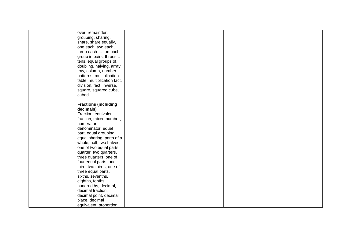| over, remainder,            |  |  |
|-----------------------------|--|--|
| grouping, sharing,          |  |  |
| share, share equally,       |  |  |
| one each, two each,         |  |  |
| three each  ten each,       |  |  |
| group in pairs, threes      |  |  |
| tens, equal groups of,      |  |  |
| doubling, halving, array    |  |  |
| row, column, number         |  |  |
| patterns, multiplication    |  |  |
| table, multiplication fact, |  |  |
| division, fact, inverse,    |  |  |
| square, squared cube,       |  |  |
| cubed.                      |  |  |
|                             |  |  |
| <b>Fractions (including</b> |  |  |
| decimals)                   |  |  |
| Fraction, equivalent        |  |  |
| fraction, mixed number,     |  |  |
| numerator,                  |  |  |
| denominator, equal          |  |  |
| part, equal grouping,       |  |  |
| equal sharing, parts of a   |  |  |
| whole, half, two halves,    |  |  |
| one of two equal parts,     |  |  |
| quarter, two quarters,      |  |  |
| three quarters, one of      |  |  |
| four equal parts, one       |  |  |
| third, two thirds, one of   |  |  |
| three equal parts,          |  |  |
| sixths, sevenths,           |  |  |
| eighths, tenths             |  |  |
| hundredths, decimal,        |  |  |
| decimal fraction,           |  |  |
| decimal point, decimal      |  |  |
| place, decimal              |  |  |
| equivalent, proportion.     |  |  |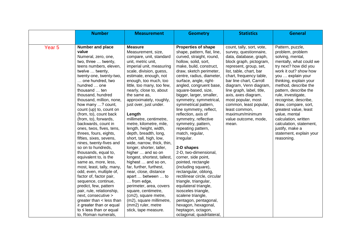|                   | <b>Number</b>                                                                                                                                                                                                                                                                                                                                                                                                                                                                                                                                                                                                                                                                                                                                                                                                                                                                                           | <b>Measurement</b>                                                                                                                                                                                                                                                                                                                                                                                                                                                                                                                                                                                                                                                                                                                                                                                                                                          | <b>Geometry</b>                                                                                                                                                                                                                                                                                                                                                                                                                                                                                                                                                                                                                                                                                                                                                                                                                                                                       | <b>Statistics</b>                                                                                                                                                                                                                                                                                                                                                                                                      | <b>General</b>                                                                                                                                                                                                                                                                                                                                                                                                                                                       |
|-------------------|---------------------------------------------------------------------------------------------------------------------------------------------------------------------------------------------------------------------------------------------------------------------------------------------------------------------------------------------------------------------------------------------------------------------------------------------------------------------------------------------------------------------------------------------------------------------------------------------------------------------------------------------------------------------------------------------------------------------------------------------------------------------------------------------------------------------------------------------------------------------------------------------------------|-------------------------------------------------------------------------------------------------------------------------------------------------------------------------------------------------------------------------------------------------------------------------------------------------------------------------------------------------------------------------------------------------------------------------------------------------------------------------------------------------------------------------------------------------------------------------------------------------------------------------------------------------------------------------------------------------------------------------------------------------------------------------------------------------------------------------------------------------------------|---------------------------------------------------------------------------------------------------------------------------------------------------------------------------------------------------------------------------------------------------------------------------------------------------------------------------------------------------------------------------------------------------------------------------------------------------------------------------------------------------------------------------------------------------------------------------------------------------------------------------------------------------------------------------------------------------------------------------------------------------------------------------------------------------------------------------------------------------------------------------------------|------------------------------------------------------------------------------------------------------------------------------------------------------------------------------------------------------------------------------------------------------------------------------------------------------------------------------------------------------------------------------------------------------------------------|----------------------------------------------------------------------------------------------------------------------------------------------------------------------------------------------------------------------------------------------------------------------------------------------------------------------------------------------------------------------------------------------------------------------------------------------------------------------|
|                   |                                                                                                                                                                                                                                                                                                                                                                                                                                                                                                                                                                                                                                                                                                                                                                                                                                                                                                         |                                                                                                                                                                                                                                                                                                                                                                                                                                                                                                                                                                                                                                                                                                                                                                                                                                                             |                                                                                                                                                                                                                                                                                                                                                                                                                                                                                                                                                                                                                                                                                                                                                                                                                                                                                       |                                                                                                                                                                                                                                                                                                                                                                                                                        |                                                                                                                                                                                                                                                                                                                                                                                                                                                                      |
| Year <sub>5</sub> | Number and place<br>value<br>Numeral, zero, one,<br>two, three  twenty,<br>teens numbers, eleven,<br>twelve  twenty,<br>twenty-one, twenty-two,<br>one hundred, two<br>hundred  one<br>thousand  ten<br>thousand, hundred<br>thousand, million, none,<br>how many ? count,<br>count (up) to, count on<br>(from, to), count back<br>(from, to), forwards,<br>backwards, count in<br>ones, twos, fives, tens,<br>threes, fours, eights,<br>fifties, sixes, sevens,<br>nines, twenty-fives and<br>so on to hundreds,<br>thousands, equal to,<br>equivalent to, is the<br>same as, more, less,<br>most, least, tally, many,<br>odd, even, multiple of,<br>factor of, factor pair,<br>sequence, continue,<br>predict, few, pattern<br>pair, rule, relationship,<br>next, consecutive ><br>greater than $\lt$ less than<br>$\ge$ greater than or equal<br>to $\leq$ less than or equal<br>to, Roman numerals, | <b>Measure</b><br>Measurement, size,<br>compare, unit, standard<br>unit, metric unit,<br>imperial unit, measuring<br>scale, division, guess,<br>estimate, enough, not<br>enough, too much, too<br>little, too many, too few,<br>nearly, close to, about<br>the same as,<br>approximately, roughly,<br>just over, just under.<br>Length<br>millimetre, centimetre,<br>metre, kilometre, mile,<br>length, height, width,<br>depth, breadth, long,<br>short, tall, high, low,<br>wide, narrow, thick, thin,<br>longer, shorter, taller,<br>higher  and so on<br>longest, shortest, tallest,<br>highest  and so on,<br>far, further, furthest,<br>near, close, distance<br>apart  between  to<br>from edge,<br>perimeter, area, covers<br>square, centimetre,<br>(cm2), square metre,<br>(m2), square millimetre,<br>(mm2) ruler, metre<br>stick, tape measure. | <b>Properties of shape</b><br>shape, pattern, flat, line,<br>curved, straight, round,<br>hollow, solid, sort,<br>make, build, construct,<br>draw, sketch perimeter,<br>centre, radius, diameter,<br>surface, angle, right-<br>angled, congruent base,<br>square-based, size,<br>bigger, larger, smaller,<br>symmetry, symmetrical,<br>symmetrical pattern,<br>line symmetry, reflect,<br>reflection, axis of<br>symmetry, reflective<br>symmetry, pattern,<br>repeating pattern,<br>match, regular,<br>irregular.<br>2-D shapes<br>2-D, two-dimensional,<br>corner, side point,<br>pointed, rectangle<br>(including square),<br>rectangular, oblong,<br>rectilinear circle, circular<br>triangle, triangular,<br>equilateral triangle,<br>isosceles triangle,<br>scalene triangle,<br>pentagon, pentagonal,<br>hexagon, hexagonal,<br>heptagon, octagon,<br>octagonal, quadrilateral, | count, tally, sort, vote,<br>survey, questionnaire,<br>data, database, graph,<br>block graph, pictogram,<br>represent, group, set,<br>list, table, chart, bar<br>chart, frequency table,<br>bar line chart, Carroll<br>diagram, Venn diagram,<br>line graph, label, title,<br>axis, axes diagram,<br>most popular, most<br>common, least popular,<br>least common,<br>maximum/minimum<br>value outcome, mode,<br>mean. | Pattern, puzzle,<br>problem, problem<br>solving, mental,<br>mentally, what could we<br>try next? how did you<br>work it out? show how<br>you  explain your<br>thinking, explain your<br>method, describe the<br>pattern, describe the<br>rule, investigate,<br>recognise, describe,<br>draw, compare, sort,<br>greatest value, least<br>value, mental<br>calculation, written<br>calculation, statement,<br>justify, make a<br>statement, explain your<br>reasoning. |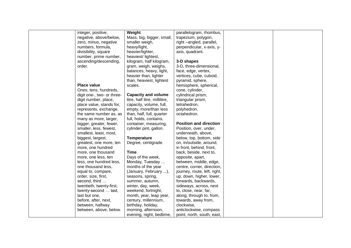| integer, positive,         | Weight                         | parallelogram, rhombus,       |  |
|----------------------------|--------------------------------|-------------------------------|--|
| negative, above/below,     | Mass, big, bigger, small,      | trapezium, polygon,           |  |
| zero, minus, negative      | smaller weigh,                 | right -angled, parallel,      |  |
| numbers, formula,          | heavy/light,                   | perpendicular, x-axis, y-     |  |
| divisibility, square       | heavier/lighter,               | axis, quadrant.               |  |
| number, prime number,      | heaviest/lightest,             |                               |  |
| ascending/descending,      | kilogram, half kilogram,       | 3-D shapes                    |  |
| order.                     | gram, weigh, weighs,           | 3-D, three-dimensional,       |  |
|                            | balances, heavy, light,        | face, edge, vertex,           |  |
|                            | heavier than, lighter          | vertices, cube, cuboid,       |  |
|                            | than, heaviest, lightest       | pyramid, sphere,              |  |
| <b>Place value</b>         | scales.                        | hemisphere, spherical,        |  |
| Ones, tens, hundreds,      |                                | cone, cylinder,               |  |
| digit one-, two- or three- | <b>Capacity and volume</b>     | cylindrical prism,            |  |
| digit number, place,       | litre, half litre, millilitre, | triangular prism,             |  |
| place value, stands for,   | capacity, volume, full,        | tetrahedron,                  |  |
| represents, exchange,      | empty, more/than less          | polyhedron,                   |  |
| the same number as, as     | than, half, full, quarter      | octahedron.                   |  |
| many as more, larger,      | full, holds, contains,         |                               |  |
| bigger, greater, fewer,    | container, measuring,          | <b>Position and direction</b> |  |
| smaller, less, fewest,     | cylinder pint, gallon.         | Position, over, under,        |  |
| smallest, least, most,     |                                | underneath, above,            |  |
| biggest, largest,          | <b>Temperature</b>             | below, top, bottom, side      |  |
| greatest, one more, ten    | Degree, centigrade.            | on, in/outside, around,       |  |
| more, one hundred          |                                | in front, behind, front,      |  |
| more, one thousand         | Time                           | back, beside, next to,        |  |
| more, one less, ten        | Days of the week,              | opposite, apart,              |  |
| less, one hundred less,    | Monday, Tuesday                | between, middle, edge,        |  |
| one thousand less,         | months of the year             | centre, corner, direction,    |  |
| equal to, compare,         | (January, February ),          | journey, route, left, right,  |  |
| order, size, first,        | seasons, spring,               | up, down, higher, lower,      |  |
| second, third              | summer, autumn,                | forwards, backwards,          |  |
| twentieth, twenty-first,   | winter, day, week,             | sideways, across, next        |  |
| twenty-second  last,       | weekend, fortnight,            | to, close, near, far,         |  |
| last but one,              | month, year, leap year,        | along, through to, from,      |  |
| before, after, next,       | century, millennium,           | towards, away from,           |  |
| between, halfway           | birthday, holiday,             | clockwise,                    |  |
| between, above, below.     | morning, afternoon,            | anticlockwise, compass        |  |
|                            | evening, night, bedtime,       | point, north, south, east,    |  |
|                            |                                |                               |  |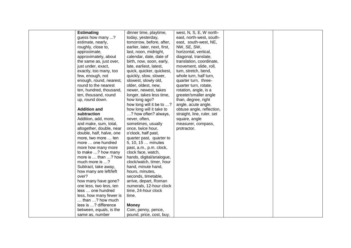| <b>Estimating</b>                 | dinner time, playtime,       | west, N, S, E, W north-    |  |
|-----------------------------------|------------------------------|----------------------------|--|
| guess how many ?                  | today, yesterday,            | east, north-west, south-   |  |
| estimate, nearly,                 | tomorrow, before, after,     | east, south-west, NE,      |  |
| roughly, close to,                | earlier, later, next, first, | NW, SE, SW,                |  |
| approximate,                      | last, noon, midnight,        | horizontal, vertical,      |  |
| approximately, about              | calendar, date, date of      | diagonal, translate,       |  |
| the same as, just over,           | birth, now, soon, early,     | translation, coordinate,   |  |
| just under, exact,                | late, earliest, latest,      | movement, slide, roll,     |  |
| exactly, too many, too            | quick, quicker, quickest,    | turn, stretch, bend,       |  |
| few, enough, not                  | quickly, slow, slower,       | whole turn, half turn,     |  |
| enough, round, nearest,           | slowest, slowly old,         | quarter turn, three-       |  |
| round to the nearest              | older, oldest, new,          | quarter turn, rotate,      |  |
| ten, hundred, thousand,           | newer, newest, takes         | rotation, angle, is a      |  |
| ten, thousand, round              | longer, takes less time,     | greater/smaller angle      |  |
| up, round down.                   | how long ago?                | than, degree, right        |  |
|                                   | how long will it be to ?     | angle, acute angle,        |  |
| <b>Addition and</b>               | how long will it take to     | obtuse angle, reflection,  |  |
| subtraction                       | ? how often? always,         | straight, line, ruler, set |  |
| Addition, add, more,              | never, often,                | square, angle              |  |
| and make, sum, total,             | sometimes, usually           | measurer, compass,         |  |
| altogether, double, near          | once, twice hour,            | protractor.                |  |
| double, half, halve, one          | o'clock, half past,          |                            |  |
| more, two more  ten               | quarter past, quarter to     |                            |  |
| more  one hundred                 | 5, 10, 15  minutes           |                            |  |
| more how many more                | past, a.m., p.m. clock,      |                            |  |
| to make ? how many                | clock face, watch,           |                            |  |
| more is  than ? how               | hands, digital/analogue,     |                            |  |
| much more is ?                    | clock/watch, timer, hour     |                            |  |
| Subtract, take away,              | hand, minute hand,           |                            |  |
| how many are left/left            | hours, minutes,              |                            |  |
| over?                             | seconds, timetable,          |                            |  |
| how many have gone?               | arrive, depart, Roman        |                            |  |
| one less, two less, ten           | numerals, 12-hour clock      |                            |  |
| less  one hundred                 | time, 24-hour clock          |                            |  |
| less, how many fewer is           | time.                        |                            |  |
| $\ldots$ than $\ldots$ ? how much |                              |                            |  |
| less is ? difference              | <b>Money</b>                 |                            |  |
|                                   |                              |                            |  |
| between, equals, is the           | Coin, penny, pence,          |                            |  |
| same as, number                   | pound, price, cost, buy,     |                            |  |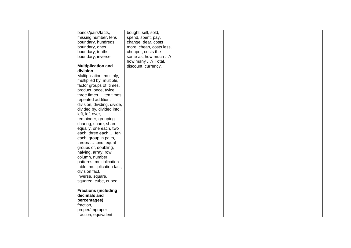| bonds/pairs/facts,          | bought, sell, sold,      |  |  |
|-----------------------------|--------------------------|--|--|
| missing number, tens        | spend, spent, pay,       |  |  |
| boundary, hundreds          | change, dear, costs      |  |  |
| boundary, ones              | more, cheap, costs less, |  |  |
| boundary, tenths            | cheaper, costs the       |  |  |
| boundary, inverse.          | same as, how much ?      |  |  |
|                             | how many ? Total,        |  |  |
| <b>Multiplication and</b>   | discount, currency.      |  |  |
| division                    |                          |  |  |
| Multiplication, multiply,   |                          |  |  |
| multiplied by, multiple,    |                          |  |  |
| factor groups of, times,    |                          |  |  |
| product, once, twice,       |                          |  |  |
| three times  ten times      |                          |  |  |
| repeated addition,          |                          |  |  |
| division, dividing, divide, |                          |  |  |
| divided by, divided into,   |                          |  |  |
| left, left over,            |                          |  |  |
| remainder, grouping         |                          |  |  |
| sharing, share, share       |                          |  |  |
| equally, one each, two      |                          |  |  |
| each, three each  ten       |                          |  |  |
| each, group in pairs,       |                          |  |  |
| threes  tens, equal         |                          |  |  |
| groups of, doubling,        |                          |  |  |
| halving, array, row,        |                          |  |  |
|                             |                          |  |  |
| column, number              |                          |  |  |
| patterns, multiplication    |                          |  |  |
| table, multiplication fact, |                          |  |  |
| division fact,              |                          |  |  |
| Inverse, square,            |                          |  |  |
| squared, cube, cubed.       |                          |  |  |
| <b>Fractions (including</b> |                          |  |  |
| decimals and                |                          |  |  |
|                             |                          |  |  |
| percentages)                |                          |  |  |
| fraction,                   |                          |  |  |
| proper/improper             |                          |  |  |
| fraction, equivalent        |                          |  |  |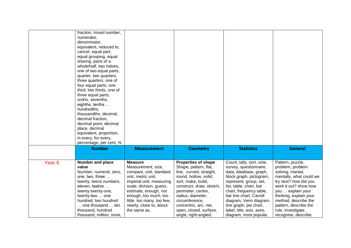|                   | fraction, mixed number,<br>numerator,<br>denominator,<br>equivalent, reduced to,<br>cancel, equal part,<br>equal grouping, equal<br>sharing, parts of a<br>whole/half, two halves,<br>one of two equal parts,<br>quarter, two quarters,<br>three quarters, one of<br>four equal parts, one<br>third, two thirds, one of<br>three equal parts,<br>sixths, sevenths,<br>eighths, tenths<br>hundredths,<br>thousandths, decimal,<br>decimal fraction,<br>decimal point, decimal<br>place, decimal<br>equivalent, proportion,<br>in every, for every,<br>percentage, per cent, % |                                                                                                                                                                                                                                                                         |                                                                                                                                                                                                                                                                                                   |                                                                                                                                                                                                                                                                                                                                |                                                                                                                                                                                                                                                                                     |
|-------------------|------------------------------------------------------------------------------------------------------------------------------------------------------------------------------------------------------------------------------------------------------------------------------------------------------------------------------------------------------------------------------------------------------------------------------------------------------------------------------------------------------------------------------------------------------------------------------|-------------------------------------------------------------------------------------------------------------------------------------------------------------------------------------------------------------------------------------------------------------------------|---------------------------------------------------------------------------------------------------------------------------------------------------------------------------------------------------------------------------------------------------------------------------------------------------|--------------------------------------------------------------------------------------------------------------------------------------------------------------------------------------------------------------------------------------------------------------------------------------------------------------------------------|-------------------------------------------------------------------------------------------------------------------------------------------------------------------------------------------------------------------------------------------------------------------------------------|
|                   | <b>Number</b>                                                                                                                                                                                                                                                                                                                                                                                                                                                                                                                                                                | <b>Measurement</b>                                                                                                                                                                                                                                                      | <b>Geometry</b>                                                                                                                                                                                                                                                                                   | <b>Statistics</b>                                                                                                                                                                                                                                                                                                              | <b>General</b>                                                                                                                                                                                                                                                                      |
| Year <sub>6</sub> | Number and place<br>value<br>Number, numeral, zero,<br>one, two, three<br>twenty, teens numbers,<br>eleven, twelve<br>twenty twenty-one,<br>twenty-two  one<br>hundred, two hundred<br>one thousand  ten<br>thousand, hundred<br>thousand, million, none,                                                                                                                                                                                                                                                                                                                    | <b>Measure</b><br>Measurement, size,<br>compare, unit, standard<br>unit, metric unit,<br>imperial unit, measuring<br>scale, division, guess,<br>estimate, enough, not<br>enough, too much, too<br>little, too many, too few,<br>nearly, close to, about<br>the same as, | <b>Properties of shape</b><br>Shape, pattern, flat,<br>line, curved, straight,<br>round, hollow, solid,<br>sort, make, build,<br>construct, draw, sketch,<br>perimeter, centre,<br>radius, diameter,<br>circumference,<br>concentric, arc, net,<br>open, closed, surface,<br>angle, right-angled, | Count, tally, sort, vote,<br>survey, questionnaire,<br>data, database, graph,<br>block graph, pictogram,<br>represent, group, set,<br>list, table, chart, bar<br>chart, frequency table,<br>bar line chart, Carroll<br>diagram, Venn diagram,<br>line graph, pie chart,<br>label, title, axis, axes,<br>diagram, most popular, | Pattern, puzzle,<br>problem, problem<br>solving, mental,<br>mentally, what could we<br>try next? how did you<br>work it out? show how<br>you  explain your<br>thinking, explain your<br>method, describe the<br>pattern, describe the<br>rule, investigate,<br>recognise, describe, |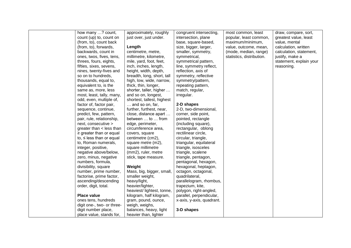| how many ? count,            | approximately, roughly     | congruent intersecting,   | most common, least        | draw, compare, sort,    |
|------------------------------|----------------------------|---------------------------|---------------------------|-------------------------|
| count (up) to, count on      | just over, just under.     | intersection, plane       | popular, least common,    | greatest value, least   |
| (from, to), count back       |                            | base, square-based,       | maximum/minimum,          | value, mental           |
| (from, to), forwards,        | Length                     | size, bigger, larger,     | value, outcome, mean,     | calculation, written    |
| backwards, count in          | centimetre, metre,         | smaller, symmetry,        | (mode, median, range)     | calculation, statement, |
| ones, twos, fives, tens,     | millimetre, kilometre,     | symmetrical,              | statistics, distribution. | justify, make a         |
| threes, fours, eights,       | mile, yard, foot, feet,    | symmetrical pattern,      |                           | statement, explain your |
| fifties, sixes, sevens,      | inch, inches, length,      | line, symmetry reflect,   |                           | reasoning.              |
| nines, twenty-fives and      | height, width, depth,      | reflection, axis of       |                           |                         |
| so on to hundreds,           | breadth, long, short, tall | symmetry, reflective      |                           |                         |
| thousands, equal to,         | high, low, wide, narrow,   | symmetry/pattern,         |                           |                         |
| equivalent to, is the        | thick, thin, longer,       | repeating pattern,        |                           |                         |
| same as, more, less          | shorter, taller, higher    | match, regular,           |                           |                         |
| most, least, tally, many,    | and so on, longest,        | irregular.                |                           |                         |
| odd, even, multiple of,      | shortest, tallest, highest |                           |                           |                         |
| factor of, factor pair,      | and so on, far,            | 2-D shapes                |                           |                         |
| sequence, continue,          | further, furthest, near,   | 2-D, two-dimensional,     |                           |                         |
| predict, few, pattern,       | close, distance apart      | corner, side point,       |                           |                         |
| pair, rule, relationship,    | between  to  from          | pointed, rectangle        |                           |                         |
| next, consecutive >          | edge, perimeter,           | (including square),       |                           |                         |
| greater than < less than     | circumference area,        | rectangular, oblong       |                           |                         |
| $\ge$ greater than or equal  | covers, square             | rectilinear circle,       |                           |                         |
| to, $\le$ less than or equal | centimetre (cm2),          | circular, triangle,       |                           |                         |
| to, Roman numerals,          | square metre (m2),         | triangular, equilateral   |                           |                         |
| integer, positive,           | square millimetre          | triangle, isosceles       |                           |                         |
| negative above/below,        | (mm2), ruler, metre        | triangle, scalene         |                           |                         |
| zero, minus, negative        | stick, tape measure.       | triangle, pentagon,       |                           |                         |
| numbers, formula,            |                            | pentagonal, hexagon,      |                           |                         |
| divisibility, square         | Weight                     | hexagonal, heptagon,      |                           |                         |
| number, prime number,        | Mass, big, bigger, small,  | octagon, octagonal,       |                           |                         |
| factorise, prime factor,     | smaller weight,            | quadrilateral,            |                           |                         |
| ascending/descending         | heavy/light,               | parallelogram, rhombus,   |                           |                         |
| order, digit, total.         | heavier/lighter,           | trapezium, kite,          |                           |                         |
|                              | heaviest/ lightest, tonne, | polygon, right-angled,    |                           |                         |
| <b>Place value</b>           | kilogram, half kilogram,   | parallel, perpendicular,  |                           |                         |
| ones tens, hundreds          | gram, pound, ounce,        | x-axis, y-axis, quadrant. |                           |                         |
| digit one-, two- or three-   | weigh, weighs,             |                           |                           |                         |
| digit number place,          | balances, heavy, light     | 3-D shapes                |                           |                         |
| place value, stands for,     | heavier than, lighter      |                           |                           |                         |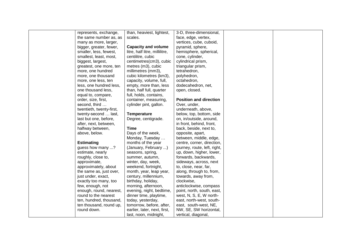| represents, exchange,    | than, heaviest, lightest,      | 3-D, three-dimensional,       |  |
|--------------------------|--------------------------------|-------------------------------|--|
| the same number as, as   | scales.                        | face, edge, vertex,           |  |
| many as more, larger,    |                                | vertices, cube, cuboid,       |  |
| bigger, greater, fewer,  | <b>Capacity and volume</b>     | pyramid, sphere,              |  |
| smaller, less, fewest,   | litre, half litre, millilitre, | hemisphere, spherical,        |  |
| smallest, least, most,   | centilitre, cubic              | cone, cylinder,               |  |
| biggest, largest,        | centimetres(cm3), cubic        | cylindrical prism,            |  |
| greatest, one more, ten  | metres (m3), cubic             | triangular prism,             |  |
| more, one hundred        | millimetres (mm3),             | tetrahedron,                  |  |
| more, one thousand       | cubic kilometres (km3),        | polyhedron,                   |  |
| more, one less, ten      | capacity, volume, full,        | octahedron,                   |  |
| less, one hundred less,  | empty, more than, less         | dodecahedron, net,            |  |
| one thousand less,       | than, half full, quarter       | open, closed.                 |  |
| equal to, compare,       | full, holds, contains,         |                               |  |
| order, size, first,      | container, measuring,          | <b>Position and direction</b> |  |
| second, third            | cylinder pint, gallon.         | Over, under,                  |  |
| twentieth, twenty-first, |                                | underneath, above,            |  |
| twenty-second  last,     | <b>Temperature</b>             | below, top, bottom, side      |  |
| last but one, before,    | Degree, centigrade.            | on, in/outside, around,       |  |
| after, next, between,    |                                | in front, behind, front,      |  |
| halfway between,         | Time                           | back, beside, next to,        |  |
| above, below.            | Days of the week,              | opposite, apart,              |  |
|                          | Monday, Tuesday                | between, middle, edge,        |  |
| <b>Estimating</b>        | months of the year             | centre, corner, direction,    |  |
| guess how many ?         | (January, February )           | journey, route, left, right,  |  |
| estimate, nearly         | seasons, spring,               | up, down, higher, lower,      |  |
| roughly, close to,       | summer, autumn,                | forwards, backwards,          |  |
| approximate,             | winter, day, week,             | sideways, across, next        |  |
| approximately, about     | weekend, fortnight,            | to, close, near, far,         |  |
| the same as, just over,  | month, year, leap year,        | along, through to, from,      |  |
| just under, exact,       | century, millennium,           | towards, away from,           |  |
| exactly too many, too    | birthday, holiday,             | clockwise,                    |  |
| few, enough, not         | morning, afternoon,            | anticlockwise, compass        |  |
| enough, round, nearest,  | evening, night, bedtime,       | point, north, south, east,    |  |
| round to the nearest     | dinner time, playtime,         | west, N, S, E, W north-       |  |
| ten, hundred, thousand,  | today, yesterday,              | east, north-west, south-      |  |
| ten thousand, round up,  | tomorrow, before, after,       | east, south-west, NE,         |  |
| round down.              | earlier, later, next, first,   | NW, SE, SW horizontal,        |  |
|                          | last, noon, midnight,          | vertical, diagonal,           |  |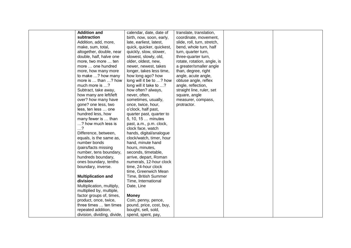| <b>Addition and</b>         | calendar, date, date of   | translate, translation,     |  |
|-----------------------------|---------------------------|-----------------------------|--|
| subtraction                 | birth, now, soon, early,  | coordinate, movement,       |  |
| Addition, add, more,        | late, earliest, latest,   | slide, roll, turn, stretch, |  |
| make, sum, total,           | quick, quicker, quickest, | bend, whole turn, half      |  |
| altogether, double, near    | quickly, slow, slower,    | turn, quarter turn,         |  |
| double, half, halve one     | slowest, slowly, old,     | three-quarter turn,         |  |
| more, two more  ten         | older, oldest, new,       | rotate, rotation, angle, is |  |
| more  one hundred           | newer, newest, takes      | a greater/smaller angle     |  |
| more, how many more         | longer, takes less time,  | than, degree, right         |  |
| to make ? how many          | how long ago? how         | angle, acute angle,         |  |
| more is  than ? how         | long will it be to ? how  | obtuse angle, reflex        |  |
| much more is ?              | long will it take to ?    | angle, reflection,          |  |
| Subtract, take away,        | how often? always,        | straight line, ruler, set   |  |
| how many are left/left      | never, often,             | square, angle               |  |
| over? how many have         | sometimes, usually,       | measurer, compass,          |  |
| gone? one less, two         | once, twice, hour,        | protractor.                 |  |
| less, ten less  one         | o'clock, half past,       |                             |  |
| hundred less, how           | quarter past, quarter to  |                             |  |
| many fewer is  than         | 5, 10, 15  minutes        |                             |  |
| ? how much less is          | past, a.m., p.m. clock,   |                             |  |
| $\ldots$ ?                  | clock face, watch         |                             |  |
| Difference, between,        | hands, digital/analogue   |                             |  |
| equals, is the same as,     | clock/watch, timer, hour  |                             |  |
| number bonds                | hand, minute hand         |                             |  |
| /pairs/facts missing        | hours, minutes,           |                             |  |
| number, tens boundary,      | seconds, timetable,       |                             |  |
| hundreds boundary,          | arrive, depart, Roman     |                             |  |
| ones boundary, tenths       | numerals, 12-hour clock   |                             |  |
| boundary, inverse.          | time, 24-hour clock       |                             |  |
|                             | time, Greenwich Mean      |                             |  |
| <b>Multiplication and</b>   | Time, British Summer      |                             |  |
| division                    | Time, International       |                             |  |
| Multiplication, multiply,   | Date, Line                |                             |  |
| multiplied by, multiple,    |                           |                             |  |
| factor groups of, times,    | <b>Money</b>              |                             |  |
| product, once, twice,       | Coin, penny, pence,       |                             |  |
| three times  ten times      | pound, price, cost, buy,  |                             |  |
| repeated addition,          | bought, sell, sold,       |                             |  |
| division, dividing, divide, | spend, spent, pay,        |                             |  |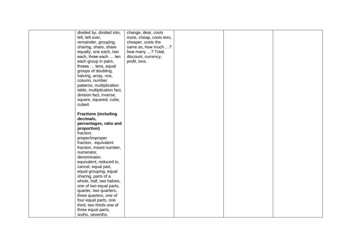| divided by, divided into,   | change, dear, costs      |  |  |
|-----------------------------|--------------------------|--|--|
| left, left over,            | more, cheap, costs less, |  |  |
| remainder, grouping,        | cheaper, costs the       |  |  |
| sharing, share, share       | same as, how much ?      |  |  |
| equally, one each, two      | how many ? Total,        |  |  |
| each, three each  ten       | discount, currency,      |  |  |
| each group in pairs,        | profit, loss.            |  |  |
| threes  tens, equal         |                          |  |  |
| groups of doubling,         |                          |  |  |
| halving, array, row,        |                          |  |  |
| column, number              |                          |  |  |
| patterns, multiplication    |                          |  |  |
| table, multiplication fact, |                          |  |  |
| division fact, inverse,     |                          |  |  |
| square, squared, cube,      |                          |  |  |
| cubed.                      |                          |  |  |
|                             |                          |  |  |
| <b>Fractions (including</b> |                          |  |  |
| decimals,                   |                          |  |  |
| percentages, ratio and      |                          |  |  |
| proportion)                 |                          |  |  |
| fraction,                   |                          |  |  |
| proper/improper             |                          |  |  |
| fraction, equivalent        |                          |  |  |
| fraction, mixed number,     |                          |  |  |
| numerator,                  |                          |  |  |
| denominator,                |                          |  |  |
| equivalent, reduced to,     |                          |  |  |
| cancel, equal part,         |                          |  |  |
| equal grouping, equal       |                          |  |  |
| sharing, parts of a         |                          |  |  |
| whole, half, two halves,    |                          |  |  |
|                             |                          |  |  |
| one of two equal parts,     |                          |  |  |
| quarter, two quarters,      |                          |  |  |
| three quarters, one of      |                          |  |  |
| four equal parts, one       |                          |  |  |
| third, two thirds one of    |                          |  |  |
| three equal parts,          |                          |  |  |
| sixths, sevenths,           |                          |  |  |